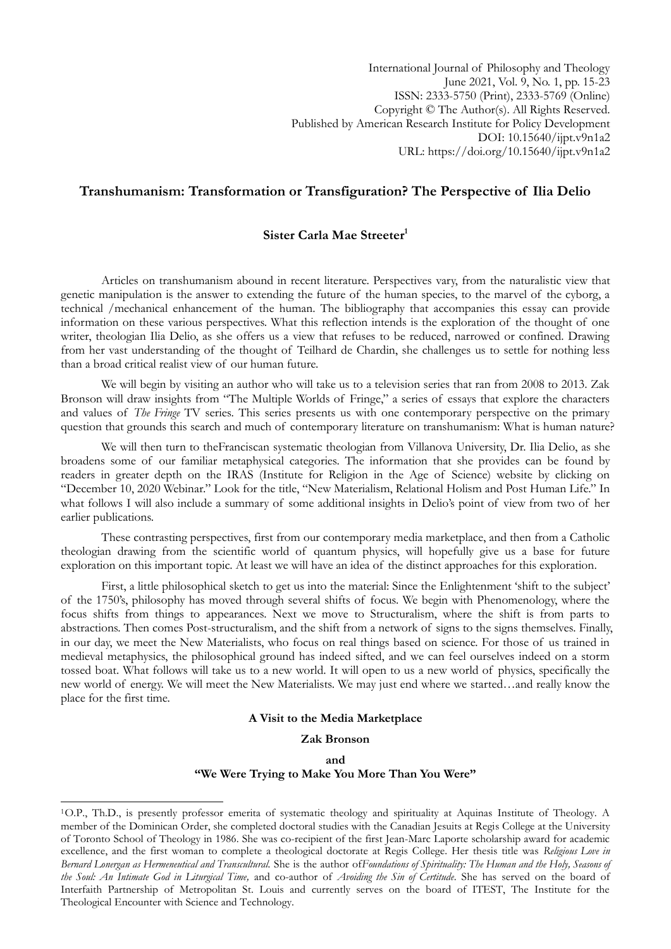International Journal of Philosophy and Theology June 2021, Vol. 9, No. 1, pp. 15-23 ISSN: 2333-5750 (Print), 2333-5769 (Online) Copyright © The Author(s). All Rights Reserved. Published by American Research Institute for Policy Development DOI: 10.15640/ijpt.v9n1a2 URL: https://doi.org/10.15640/ijpt.v9n1a2

# **Transhumanism: Transformation or Transfiguration? The Perspective of Ilia Delio**

# **Sister Carla Mae Streeter<sup>1</sup>**

Articles on transhumanism abound in recent literature. Perspectives vary, from the naturalistic view that genetic manipulation is the answer to extending the future of the human species, to the marvel of the cyborg, a technical /mechanical enhancement of the human. The bibliography that accompanies this essay can provide information on these various perspectives. What this reflection intends is the exploration of the thought of one writer, theologian Ilia Delio, as she offers us a view that refuses to be reduced, narrowed or confined. Drawing from her vast understanding of the thought of Teilhard de Chardin, she challenges us to settle for nothing less than a broad critical realist view of our human future.

We will begin by visiting an author who will take us to a television series that ran from 2008 to 2013. Zak Bronson will draw insights from "The Multiple Worlds of Fringe," a series of essays that explore the characters and values of *The Fringe* TV series. This series presents us with one contemporary perspective on the primary question that grounds this search and much of contemporary literature on transhumanism: What is human nature?

We will then turn to theFranciscan systematic theologian from Villanova University, Dr. Ilia Delio, as she broadens some of our familiar metaphysical categories. The information that she provides can be found by readers in greater depth on the IRAS (Institute for Religion in the Age of Science) website by clicking on "December 10, 2020 Webinar." Look for the title, "New Materialism, Relational Holism and Post Human Life." In what follows I will also include a summary of some additional insights in Delio's point of view from two of her earlier publications.

These contrasting perspectives, first from our contemporary media marketplace, and then from a Catholic theologian drawing from the scientific world of quantum physics, will hopefully give us a base for future exploration on this important topic. At least we will have an idea of the distinct approaches for this exploration.

First, a little philosophical sketch to get us into the material: Since the Enlightenment 'shift to the subject' of the 1750"s, philosophy has moved through several shifts of focus. We begin with Phenomenology, where the focus shifts from things to appearances. Next we move to Structuralism, where the shift is from parts to abstractions. Then comes Post-structuralism, and the shift from a network of signs to the signs themselves. Finally, in our day, we meet the New Materialists, who focus on real things based on science. For those of us trained in medieval metaphysics, the philosophical ground has indeed sifted, and we can feel ourselves indeed on a storm tossed boat. What follows will take us to a new world. It will open to us a new world of physics, specifically the new world of energy. We will meet the New Materialists. We may just end where we started…and really know the place for the first time.

# **A Visit to the Media Marketplace**

# **Zak Bronson**

**and**

# **"We Were Trying to Make You More Than You Were"**

1

<sup>1</sup>O.P., Th.D., is presently professor emerita of systematic theology and spirituality at Aquinas Institute of Theology. A member of the Dominican Order, she completed doctoral studies with the Canadian Jesuits at Regis College at the University of Toronto School of Theology in 1986. She was co-recipient of the first Jean-Marc Laporte scholarship award for academic excellence, and the first woman to complete a theological doctorate at Regis College. Her thesis title was *Religious Love in Bernard Lonergan as Hermeneutical and Transcultural.* She is the author of*Foundations of Spirituality: The Human and the Holy, Seasons of the Soul: An Intimate God in Liturgical Time,* and co-author of *Avoiding the Sin of Certitude*. She has served on the board of Interfaith Partnership of Metropolitan St. Louis and currently serves on the board of ITEST, The Institute for the Theological Encounter with Science and Technology.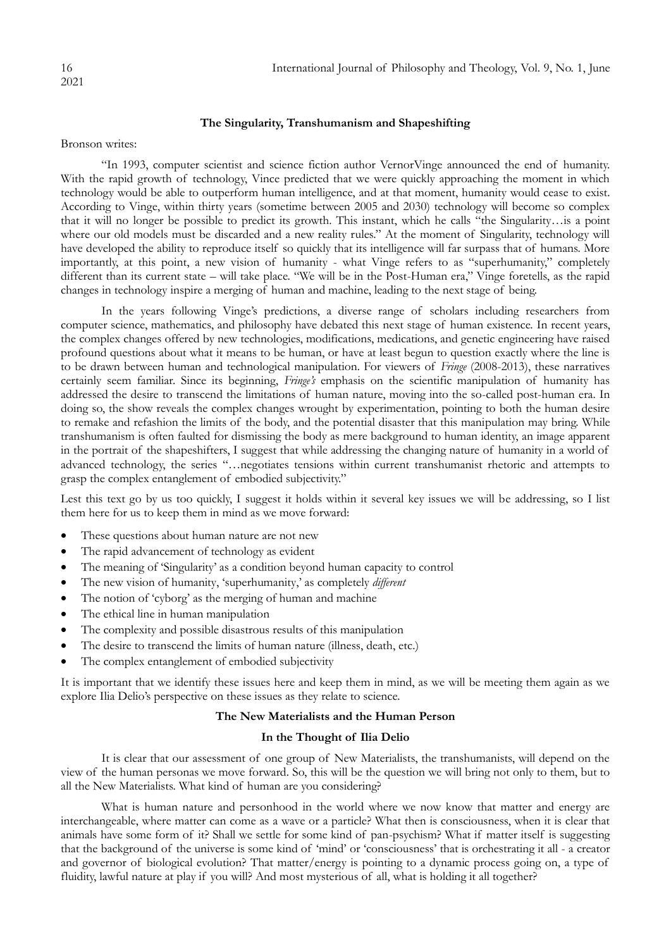# **The Singularity, Transhumanism and Shapeshifting**

Bronson writes:

"In 1993, computer scientist and science fiction author VernorVinge announced the end of humanity. With the rapid growth of technology, Vince predicted that we were quickly approaching the moment in which technology would be able to outperform human intelligence, and at that moment, humanity would cease to exist. According to Vinge, within thirty years (sometime between 2005 and 2030) technology will become so complex that it will no longer be possible to predict its growth. This instant, which he calls "the Singularity…is a point where our old models must be discarded and a new reality rules." At the moment of Singularity, technology will have developed the ability to reproduce itself so quickly that its intelligence will far surpass that of humans. More importantly, at this point, a new vision of humanity - what Vinge refers to as "superhumanity," completely different than its current state – will take place. "We will be in the Post-Human era," Vinge foretells, as the rapid changes in technology inspire a merging of human and machine, leading to the next stage of being.

In the years following Vinge's predictions, a diverse range of scholars including researchers from computer science, mathematics, and philosophy have debated this next stage of human existence. In recent years, the complex changes offered by new technologies, modifications, medications, and genetic engineering have raised profound questions about what it means to be human, or have at least begun to question exactly where the line is to be drawn between human and technological manipulation. For viewers of *Fringe* (2008-2013), these narratives certainly seem familiar. Since its beginning, *Fringe's* emphasis on the scientific manipulation of humanity has addressed the desire to transcend the limitations of human nature, moving into the so-called post-human era. In doing so, the show reveals the complex changes wrought by experimentation, pointing to both the human desire to remake and refashion the limits of the body, and the potential disaster that this manipulation may bring. While transhumanism is often faulted for dismissing the body as mere background to human identity, an image apparent in the portrait of the shapeshifters, I suggest that while addressing the changing nature of humanity in a world of advanced technology, the series "…negotiates tensions within current transhumanist rhetoric and attempts to grasp the complex entanglement of embodied subjectivity."

Lest this text go by us too quickly, I suggest it holds within it several key issues we will be addressing, so I list them here for us to keep them in mind as we move forward:

- These questions about human nature are not new
- The rapid advancement of technology as evident
- The meaning of "Singularity" as a condition beyond human capacity to control
- The new vision of humanity, 'superhumanity,' as completely *different*
- The notion of 'cyborg' as the merging of human and machine
- The ethical line in human manipulation
- The complexity and possible disastrous results of this manipulation
- The desire to transcend the limits of human nature (illness, death, etc.)
- The complex entanglement of embodied subjectivity

It is important that we identify these issues here and keep them in mind, as we will be meeting them again as we explore Ilia Delio's perspective on these issues as they relate to science.

# **The New Materialists and the Human Person**

# **In the Thought of Ilia Delio**

It is clear that our assessment of one group of New Materialists, the transhumanists, will depend on the view of the human personas we move forward. So, this will be the question we will bring not only to them, but to all the New Materialists. What kind of human are you considering?

What is human nature and personhood in the world where we now know that matter and energy are interchangeable, where matter can come as a wave or a particle? What then is consciousness, when it is clear that animals have some form of it? Shall we settle for some kind of pan-psychism? What if matter itself is suggesting that the background of the universe is some kind of "mind" or "consciousness" that is orchestrating it all - a creator and governor of biological evolution? That matter/energy is pointing to a dynamic process going on, a type of fluidity, lawful nature at play if you will? And most mysterious of all, what is holding it all together?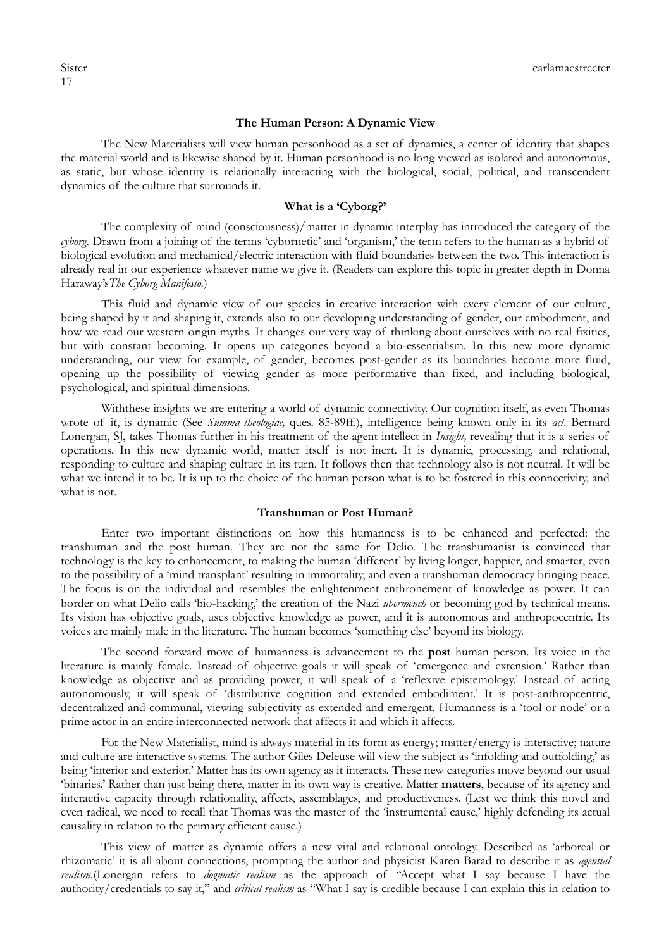#### **The Human Person: A Dynamic View**

The New Materialists will view human personhood as a set of dynamics, a center of identity that shapes the material world and is likewise shaped by it. Human personhood is no long viewed as isolated and autonomous, as static, but whose identity is relationally interacting with the biological, social, political, and transcendent dynamics of the culture that surrounds it.

# **What is a "Cyborg?"**

The complexity of mind (consciousness)/matter in dynamic interplay has introduced the category of the *cyborg*. Drawn from a joining of the terms 'cybornetic' and 'organism,' the term refers to the human as a hybrid of biological evolution and mechanical/electric interaction with fluid boundaries between the two. This interaction is already real in our experience whatever name we give it. (Readers can explore this topic in greater depth in Donna Haraway"s*The Cyborg Manifesto.*)

This fluid and dynamic view of our species in creative interaction with every element of our culture, being shaped by it and shaping it, extends also to our developing understanding of gender, our embodiment, and how we read our western origin myths. It changes our very way of thinking about ourselves with no real fixities, but with constant becoming. It opens up categories beyond a bio-essentialism. In this new more dynamic understanding, our view for example, of gender, becomes post-gender as its boundaries become more fluid, opening up the possibility of viewing gender as more performative than fixed, and including biological, psychological, and spiritual dimensions.

Withthese insights we are entering a world of dynamic connectivity. Our cognition itself, as even Thomas wrote of it, is dynamic (See *Summa theologiae,* ques. 85-89ff.), intelligence being known only in its *act*. Bernard Lonergan, SJ, takes Thomas further in his treatment of the agent intellect in *Insight*, revealing that it is a series of operations. In this new dynamic world, matter itself is not inert. It is dynamic, processing, and relational, responding to culture and shaping culture in its turn. It follows then that technology also is not neutral. It will be what we intend it to be. It is up to the choice of the human person what is to be fostered in this connectivity, and what is not.

#### **Transhuman or Post Human?**

Enter two important distinctions on how this humanness is to be enhanced and perfected: the transhuman and the post human. They are not the same for Delio. The transhumanist is convinced that technology is the key to enhancement, to making the human "different" by living longer, happier, and smarter, even to the possibility of a "mind transplant" resulting in immortality, and even a transhuman democracy bringing peace. The focus is on the individual and resembles the enlightenment enthronement of knowledge as power. It can border on what Delio calls "bio-hacking," the creation of the Nazi *ubermench* or becoming god by technical means. Its vision has objective goals, uses objective knowledge as power, and it is autonomous and anthropocentric. Its voices are mainly male in the literature. The human becomes "something else" beyond its biology.

The second forward move of humanness is advancement to the **post** human person. Its voice in the literature is mainly female. Instead of objective goals it will speak of "emergence and extension." Rather than knowledge as objective and as providing power, it will speak of a "reflexive epistemology." Instead of acting autonomously, it will speak of "distributive cognition and extended embodiment." It is post-anthropcentric, decentralized and communal, viewing subjectivity as extended and emergent. Humanness is a "tool or node" or a prime actor in an entire interconnected network that affects it and which it affects.

For the New Materialist, mind is always material in its form as energy; matter/energy is interactive; nature and culture are interactive systems. The author Giles Deleuse will view the subject as 'infolding and outfolding,' as being 'interior and exterior.' Matter has its own agency as it interacts. These new categories move beyond our usual "binaries." Rather than just being there, matter in its own way is creative. Matter **matters**, because of its agency and interactive capacity through relationality, affects, assemblages, and productiveness. (Lest we think this novel and even radical, we need to recall that Thomas was the master of the "instrumental cause," highly defending its actual causality in relation to the primary efficient cause.)

This view of matter as dynamic offers a new vital and relational ontology. Described as "arboreal or rhizomatic" it is all about connections, prompting the author and physicist Karen Barad to describe it as *agential realism.*(Lonergan refers to *dogmatic realism* as the approach of "Accept what I say because I have the authority/credentials to say it," and *critical realism* as "What I say is credible because I can explain this in relation to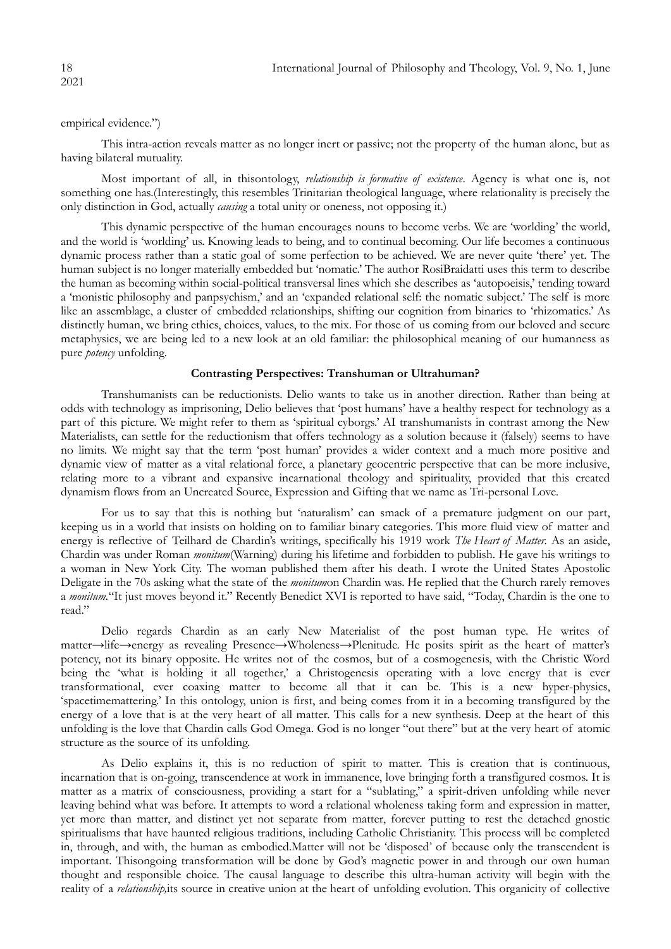empirical evidence.")

This intra-action reveals matter as no longer inert or passive; not the property of the human alone, but as having bilateral mutuality.

Most important of all, in thisontology, *relationship is formative of existence*. Agency is what one is, not something one has.(Interestingly, this resembles Trinitarian theological language, where relationality is precisely the only distinction in God, actually *causing* a total unity or oneness, not opposing it.)

This dynamic perspective of the human encourages nouns to become verbs. We are "worlding" the world, and the world is "worlding" us. Knowing leads to being, and to continual becoming. Our life becomes a continuous dynamic process rather than a static goal of some perfection to be achieved. We are never quite "there" yet. The human subject is no longer materially embedded but "nomatic." The author RosiBraidatti uses this term to describe the human as becoming within social-political transversal lines which she describes as "autopoeisis," tending toward a 'monistic philosophy and panpsychism,' and an 'expanded relational self: the nomatic subject.' The self is more like an assemblage, a cluster of embedded relationships, shifting our cognition from binaries to "rhizomatics." As distinctly human, we bring ethics, choices, values, to the mix. For those of us coming from our beloved and secure metaphysics, we are being led to a new look at an old familiar: the philosophical meaning of our humanness as pure *potency* unfolding*.*

#### **Contrasting Perspectives: Transhuman or Ultrahuman?**

Transhumanists can be reductionists. Delio wants to take us in another direction. Rather than being at odds with technology as imprisoning, Delio believes that "post humans" have a healthy respect for technology as a part of this picture. We might refer to them as "spiritual cyborgs." AI transhumanists in contrast among the New Materialists, can settle for the reductionism that offers technology as a solution because it (falsely) seems to have no limits. We might say that the term "post human" provides a wider context and a much more positive and dynamic view of matter as a vital relational force, a planetary geocentric perspective that can be more inclusive, relating more to a vibrant and expansive incarnational theology and spirituality, provided that this created dynamism flows from an Uncreated Source, Expression and Gifting that we name as Tri-personal Love.

For us to say that this is nothing but 'naturalism' can smack of a premature judgment on our part, keeping us in a world that insists on holding on to familiar binary categories. This more fluid view of matter and energy is reflective of Teilhard de Chardin's writings, specifically his 1919 work *The Heart of Matter*. As an aside, Chardin was under Roman *monitum*(Warning) during his lifetime and forbidden to publish. He gave his writings to a woman in New York City. The woman published them after his death. I wrote the United States Apostolic Deligate in the 70s asking what the state of the *monitum*on Chardin was. He replied that the Church rarely removes a *monitum.*"It just moves beyond it." Recently Benedict XVI is reported to have said, "Today, Chardin is the one to read."

Delio regards Chardin as an early New Materialist of the post human type. He writes of matter→life→energy as revealing Presence→Wholeness→Plenitude. He posits spirit as the heart of matter"s potency, not its binary opposite. He writes not of the cosmos, but of a cosmogenesis, with the Christic Word being the 'what is holding it all together,' a Christogenesis operating with a love energy that is ever transformational, ever coaxing matter to become all that it can be. This is a new hyper-physics, "spacetimemattering." In this ontology, union is first, and being comes from it in a becoming transfigured by the energy of a love that is at the very heart of all matter. This calls for a new synthesis. Deep at the heart of this unfolding is the love that Chardin calls God Omega. God is no longer "out there" but at the very heart of atomic structure as the source of its unfolding.

As Delio explains it, this is no reduction of spirit to matter. This is creation that is continuous, incarnation that is on-going, transcendence at work in immanence, love bringing forth a transfigured cosmos. It is matter as a matrix of consciousness, providing a start for a "sublating," a spirit-driven unfolding while never leaving behind what was before. It attempts to word a relational wholeness taking form and expression in matter, yet more than matter, and distinct yet not separate from matter, forever putting to rest the detached gnostic spiritualisms that have haunted religious traditions, including Catholic Christianity. This process will be completed in, through, and with, the human as embodied.Matter will not be "disposed" of because only the transcendent is important. Thisongoing transformation will be done by God's magnetic power in and through our own human thought and responsible choice. The causal language to describe this ultra-human activity will begin with the reality of a *relationship,*its source in creative union at the heart of unfolding evolution. This organicity of collective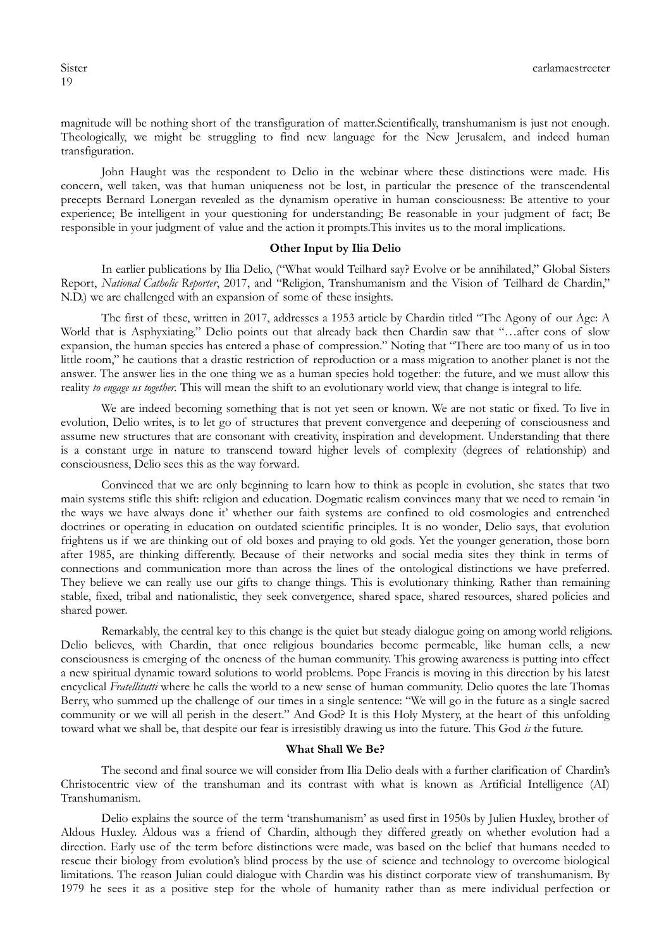magnitude will be nothing short of the transfiguration of matter.Scientifically, transhumanism is just not enough. Theologically, we might be struggling to find new language for the New Jerusalem, and indeed human transfiguration.

John Haught was the respondent to Delio in the webinar where these distinctions were made. His concern, well taken, was that human uniqueness not be lost, in particular the presence of the transcendental precepts Bernard Lonergan revealed as the dynamism operative in human consciousness: Be attentive to your experience; Be intelligent in your questioning for understanding; Be reasonable in your judgment of fact; Be responsible in your judgment of value and the action it prompts.This invites us to the moral implications.

#### **Other Input by Ilia Delio**

In earlier publications by Ilia Delio, ("What would Teilhard say? Evolve or be annihilated," Global Sisters Report, *National Catholic Reporter*, 2017, and "Religion, Transhumanism and the Vision of Teilhard de Chardin," N.D.) we are challenged with an expansion of some of these insights.

The first of these, written in 2017, addresses a 1953 article by Chardin titled "The Agony of our Age: A World that is Asphyxiating." Delio points out that already back then Chardin saw that "…after eons of slow expansion, the human species has entered a phase of compression." Noting that "There are too many of us in too little room," he cautions that a drastic restriction of reproduction or a mass migration to another planet is not the answer. The answer lies in the one thing we as a human species hold together: the future, and we must allow this reality *to engage us together.* This will mean the shift to an evolutionary world view, that change is integral to life.

We are indeed becoming something that is not yet seen or known. We are not static or fixed. To live in evolution, Delio writes, is to let go of structures that prevent convergence and deepening of consciousness and assume new structures that are consonant with creativity, inspiration and development. Understanding that there is a constant urge in nature to transcend toward higher levels of complexity (degrees of relationship) and consciousness, Delio sees this as the way forward.

Convinced that we are only beginning to learn how to think as people in evolution, she states that two main systems stifle this shift: religion and education. Dogmatic realism convinces many that we need to remain "in the ways we have always done it" whether our faith systems are confined to old cosmologies and entrenched doctrines or operating in education on outdated scientific principles. It is no wonder, Delio says, that evolution frightens us if we are thinking out of old boxes and praying to old gods. Yet the younger generation, those born after 1985, are thinking differently. Because of their networks and social media sites they think in terms of connections and communication more than across the lines of the ontological distinctions we have preferred. They believe we can really use our gifts to change things. This is evolutionary thinking. Rather than remaining stable, fixed, tribal and nationalistic, they seek convergence, shared space, shared resources, shared policies and shared power.

Remarkably, the central key to this change is the quiet but steady dialogue going on among world religions. Delio believes, with Chardin, that once religious boundaries become permeable, like human cells, a new consciousness is emerging of the oneness of the human community. This growing awareness is putting into effect a new spiritual dynamic toward solutions to world problems. Pope Francis is moving in this direction by his latest encyclical *Fratellitutti* where he calls the world to a new sense of human community. Delio quotes the late Thomas Berry, who summed up the challenge of our times in a single sentence: "We will go in the future as a single sacred community or we will all perish in the desert." And God? It is this Holy Mystery, at the heart of this unfolding toward what we shall be, that despite our fear is irresistibly drawing us into the future. This God *is* the future.

# **What Shall We Be?**

The second and final source we will consider from Ilia Delio deals with a further clarification of Chardin's Christocentric view of the transhuman and its contrast with what is known as Artificial Intelligence (AI) Transhumanism.

Delio explains the source of the term "transhumanism" as used first in 1950s by Julien Huxley, brother of Aldous Huxley. Aldous was a friend of Chardin, although they differed greatly on whether evolution had a direction. Early use of the term before distinctions were made, was based on the belief that humans needed to rescue their biology from evolution"s blind process by the use of science and technology to overcome biological limitations. The reason Julian could dialogue with Chardin was his distinct corporate view of transhumanism. By 1979 he sees it as a positive step for the whole of humanity rather than as mere individual perfection or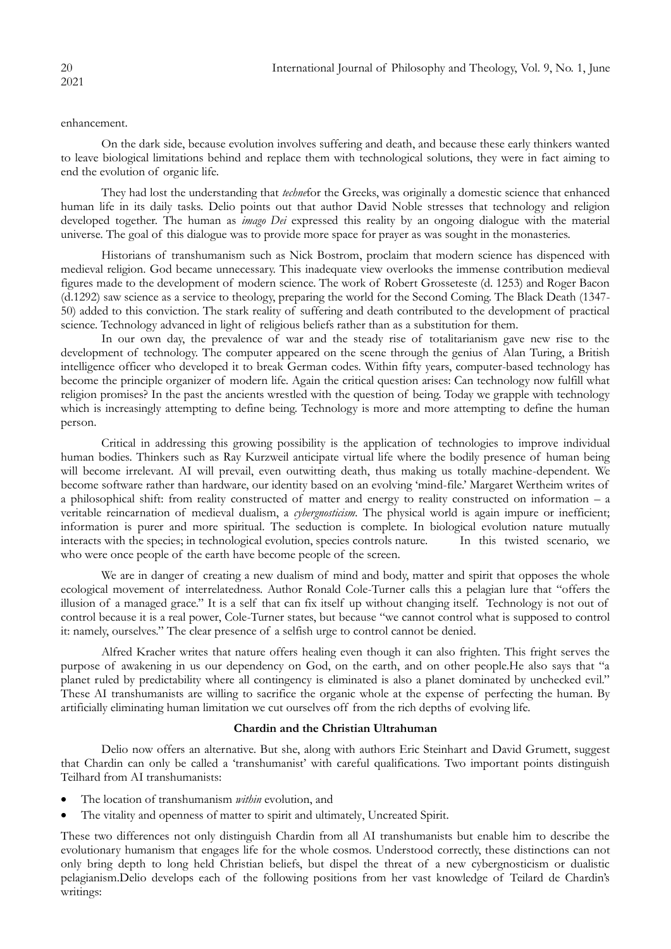#### enhancement.

On the dark side, because evolution involves suffering and death, and because these early thinkers wanted to leave biological limitations behind and replace them with technological solutions, they were in fact aiming to end the evolution of organic life.

They had lost the understanding that *techne*for the Greeks, was originally a domestic science that enhanced human life in its daily tasks. Delio points out that author David Noble stresses that technology and religion developed together. The human as *imago Dei* expressed this reality by an ongoing dialogue with the material universe. The goal of this dialogue was to provide more space for prayer as was sought in the monasteries.

Historians of transhumanism such as Nick Bostrom, proclaim that modern science has dispenced with medieval religion. God became unnecessary. This inadequate view overlooks the immense contribution medieval figures made to the development of modern science. The work of Robert Grosseteste (d. 1253) and Roger Bacon (d.1292) saw science as a service to theology, preparing the world for the Second Coming. The Black Death (1347- 50) added to this conviction. The stark reality of suffering and death contributed to the development of practical science. Technology advanced in light of religious beliefs rather than as a substitution for them.

In our own day, the prevalence of war and the steady rise of totalitarianism gave new rise to the development of technology. The computer appeared on the scene through the genius of Alan Turing, a British intelligence officer who developed it to break German codes. Within fifty years, computer-based technology has become the principle organizer of modern life. Again the critical question arises: Can technology now fulfill what religion promises? In the past the ancients wrestled with the question of being. Today we grapple with technology which is increasingly attempting to define being. Technology is more and more attempting to define the human person.

Critical in addressing this growing possibility is the application of technologies to improve individual human bodies. Thinkers such as Ray Kurzweil anticipate virtual life where the bodily presence of human being will become irrelevant. AI will prevail, even outwitting death, thus making us totally machine-dependent. We become software rather than hardware, our identity based on an evolving "mind-file." Margaret Wertheim writes of a philosophical shift: from reality constructed of matter and energy to reality constructed on information – a veritable reincarnation of medieval dualism, a *cybergnosticism.* The physical world is again impure or inefficient; information is purer and more spiritual. The seduction is complete. In biological evolution nature mutually interacts with the species; in technological evolution, species controls nature. In this twisted scenario, we who were once people of the earth have become people of the screen.

We are in danger of creating a new dualism of mind and body, matter and spirit that opposes the whole ecological movement of interrelatedness. Author Ronald Cole-Turner calls this a pelagian lure that "offers the illusion of a managed grace." It is a self that can fix itself up without changing itself. Technology is not out of control because it is a real power, Cole-Turner states, but because "we cannot control what is supposed to control it: namely, ourselves." The clear presence of a selfish urge to control cannot be denied.

Alfred Kracher writes that nature offers healing even though it can also frighten. This fright serves the purpose of awakening in us our dependency on God, on the earth, and on other people.He also says that "a planet ruled by predictability where all contingency is eliminated is also a planet dominated by unchecked evil." These AI transhumanists are willing to sacrifice the organic whole at the expense of perfecting the human. By artificially eliminating human limitation we cut ourselves off from the rich depths of evolving life.

# **Chardin and the Christian Ultrahuman**

Delio now offers an alternative. But she, along with authors Eric Steinhart and David Grumett, suggest that Chardin can only be called a "transhumanist" with careful qualifications. Two important points distinguish Teilhard from AI transhumanists:

- The location of transhumanism *within* evolution, and
- The vitality and openness of matter to spirit and ultimately, Uncreated Spirit.

These two differences not only distinguish Chardin from all AI transhumanists but enable him to describe the evolutionary humanism that engages life for the whole cosmos. Understood correctly, these distinctions can not only bring depth to long held Christian beliefs, but dispel the threat of a new cybergnosticism or dualistic pelagianism.Delio develops each of the following positions from her vast knowledge of Teilard de Chardin's writings: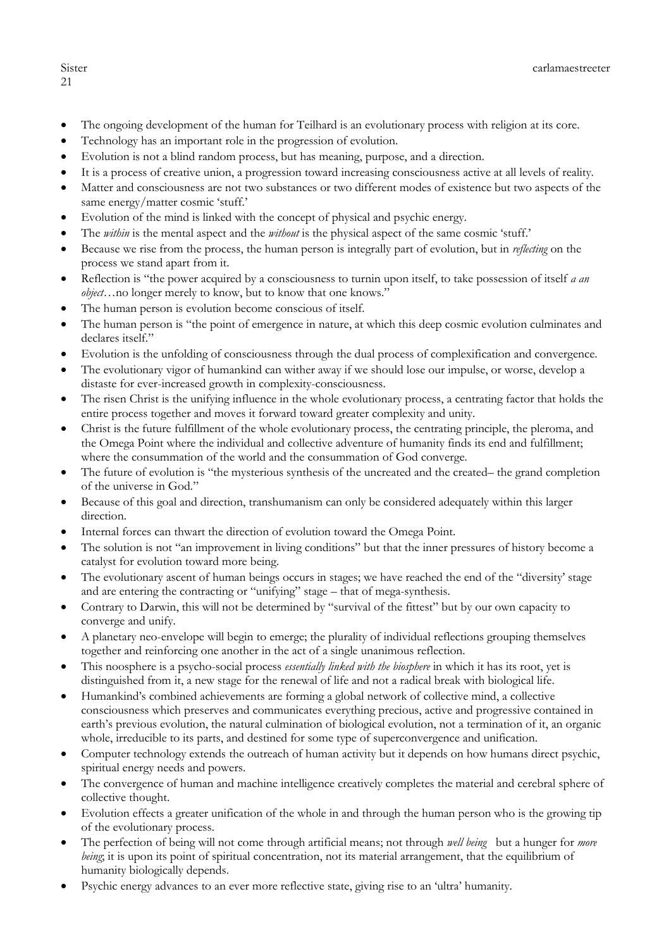# 21

- The ongoing development of the human for Teilhard is an evolutionary process with religion at its core.
- Technology has an important role in the progression of evolution.
- Evolution is not a blind random process, but has meaning, purpose, and a direction.
- It is a process of creative union, a progression toward increasing consciousness active at all levels of reality.
- Matter and consciousness are not two substances or two different modes of existence but two aspects of the same energy/matter cosmic 'stuff.'
- Evolution of the mind is linked with the concept of physical and psychic energy.
- The *within* is the mental aspect and the *without* is the physical aspect of the same cosmic "stuff."
- Because we rise from the process, the human person is integrally part of evolution, but in *reflecting* on the process we stand apart from it.
- Reflection is "the power acquired by a consciousness to turnin upon itself, to take possession of itself *a an object*…no longer merely to know, but to know that one knows."
- The human person is evolution become conscious of itself.
- The human person is "the point of emergence in nature, at which this deep cosmic evolution culminates and declares itself."
- Evolution is the unfolding of consciousness through the dual process of complexification and convergence.
- The evolutionary vigor of humankind can wither away if we should lose our impulse, or worse, develop a distaste for ever-increased growth in complexity-consciousness.
- The risen Christ is the unifying influence in the whole evolutionary process, a centrating factor that holds the entire process together and moves it forward toward greater complexity and unity.
- Christ is the future fulfillment of the whole evolutionary process, the centrating principle, the pleroma, and the Omega Point where the individual and collective adventure of humanity finds its end and fulfillment; where the consummation of the world and the consummation of God converge.
- The future of evolution is "the mysterious synthesis of the uncreated and the created– the grand completion of the universe in God."
- Because of this goal and direction, transhumanism can only be considered adequately within this larger direction.
- Internal forces can thwart the direction of evolution toward the Omega Point.
- The solution is not "an improvement in living conditions" but that the inner pressures of history become a catalyst for evolution toward more being.
- The evolutionary ascent of human beings occurs in stages; we have reached the end of the "diversity" stage and are entering the contracting or "unifying" stage – that of mega-synthesis.
- Contrary to Darwin, this will not be determined by "survival of the fittest" but by our own capacity to converge and unify.
- A planetary neo-envelope will begin to emerge; the plurality of individual reflections grouping themselves together and reinforcing one another in the act of a single unanimous reflection.
- This noosphere is a psycho-social process *essentially linked with the biosphere* in which it has its root, yet is distinguished from it, a new stage for the renewal of life and not a radical break with biological life.
- Humankind"s combined achievements are forming a global network of collective mind, a collective consciousness which preserves and communicates everything precious, active and progressive contained in earth"s previous evolution, the natural culmination of biological evolution, not a termination of it, an organic whole, irreducible to its parts, and destined for some type of superconvergence and unification.
- Computer technology extends the outreach of human activity but it depends on how humans direct psychic, spiritual energy needs and powers.
- The convergence of human and machine intelligence creatively completes the material and cerebral sphere of collective thought.
- Evolution effects a greater unification of the whole in and through the human person who is the growing tip of the evolutionary process.
- The perfection of being will not come through artificial means; not through *well being* but a hunger for *more being*; it is upon its point of spiritual concentration, not its material arrangement, that the equilibrium of humanity biologically depends.
- Psychic energy advances to an ever more reflective state, giving rise to an "ultra" humanity.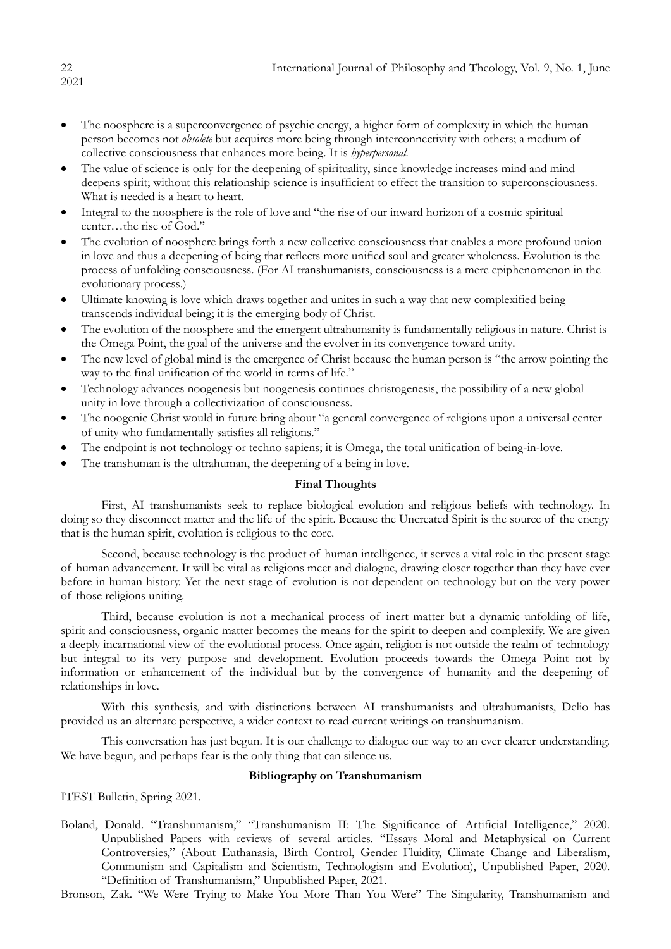- The noosphere is a superconvergence of psychic energy, a higher form of complexity in which the human person becomes not *obsolete* but acquires more being through interconnectivity with others; a medium of collective consciousness that enhances more being. It is *hyperpersonal.*
- The value of science is only for the deepening of spirituality, since knowledge increases mind and mind deepens spirit; without this relationship science is insufficient to effect the transition to superconsciousness. What is needed is a heart to heart.
- Integral to the noosphere is the role of love and "the rise of our inward horizon of a cosmic spiritual center…the rise of God."
- The evolution of noosphere brings forth a new collective consciousness that enables a more profound union in love and thus a deepening of being that reflects more unified soul and greater wholeness. Evolution is the process of unfolding consciousness. (For AI transhumanists, consciousness is a mere epiphenomenon in the evolutionary process.)
- Ultimate knowing is love which draws together and unites in such a way that new complexified being transcends individual being; it is the emerging body of Christ.
- The evolution of the noosphere and the emergent ultrahumanity is fundamentally religious in nature. Christ is the Omega Point, the goal of the universe and the evolver in its convergence toward unity.
- The new level of global mind is the emergence of Christ because the human person is "the arrow pointing the way to the final unification of the world in terms of life."
- Technology advances noogenesis but noogenesis continues christogenesis, the possibility of a new global unity in love through a collectivization of consciousness.
- The noogenic Christ would in future bring about "a general convergence of religions upon a universal center of unity who fundamentally satisfies all religions."
- The endpoint is not technology or techno sapiens; it is Omega, the total unification of being-in-love.
- The transhuman is the ultrahuman, the deepening of a being in love.

# **Final Thoughts**

First, AI transhumanists seek to replace biological evolution and religious beliefs with technology. In doing so they disconnect matter and the life of the spirit. Because the Uncreated Spirit is the source of the energy that is the human spirit, evolution is religious to the core.

Second, because technology is the product of human intelligence, it serves a vital role in the present stage of human advancement. It will be vital as religions meet and dialogue, drawing closer together than they have ever before in human history. Yet the next stage of evolution is not dependent on technology but on the very power of those religions uniting.

Third, because evolution is not a mechanical process of inert matter but a dynamic unfolding of life, spirit and consciousness, organic matter becomes the means for the spirit to deepen and complexify. We are given a deeply incarnational view of the evolutional process. Once again, religion is not outside the realm of technology but integral to its very purpose and development. Evolution proceeds towards the Omega Point not by information or enhancement of the individual but by the convergence of humanity and the deepening of relationships in love.

With this synthesis, and with distinctions between AI transhumanists and ultrahumanists, Delio has provided us an alternate perspective, a wider context to read current writings on transhumanism.

This conversation has just begun. It is our challenge to dialogue our way to an ever clearer understanding. We have begun, and perhaps fear is the only thing that can silence us.

# **Bibliography on Transhumanism**

ITEST Bulletin, Spring 2021.

Boland, Donald. "Transhumanism," "Transhumanism II: The Significance of Artificial Intelligence," 2020. Unpublished Papers with reviews of several articles. "Essays Moral and Metaphysical on Current Controversies," (About Euthanasia, Birth Control, Gender Fluidity, Climate Change and Liberalism, Communism and Capitalism and Scientism, Technologism and Evolution), Unpublished Paper, 2020. "Definition of Transhumanism," Unpublished Paper, 2021.

Bronson, Zak. "We Were Trying to Make You More Than You Were" The Singularity, Transhumanism and